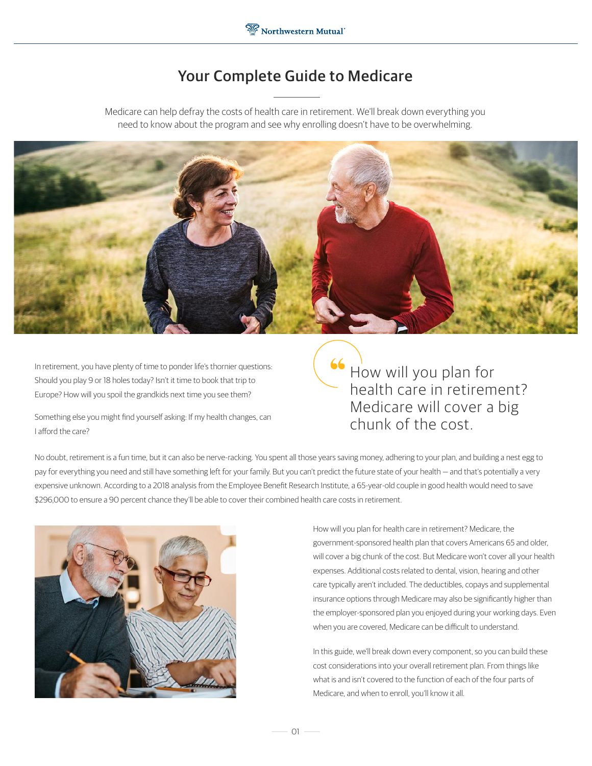# Your Complete Guide to Medicare

Medicare can help defray the costs of health care in retirement. We'll break down everything you need to know about the program and see why enrolling doesn't have to be overwhelming.



In retirement, you have plenty of time to ponder life's thornier questions: Should you play 9 or 18 holes today? Isn't it time to book that trip to Europe? How will you spoil the grandkids next time you see them?

Something else you might find yourself asking: If my health changes, can I afford the care?

How will you plan for health care in retirement? Medicare will cover a big chunk of the cost.

No doubt, retirement is a fun time, but it can also be nerve-racking. You spent all those years saving money, adhering to your plan, and building a nest egg to pay for everything you need and still have something left for your family. But you can't predict the future state of your health — and that's potentially a very expensive unknown. According to a 2018 analysis from the Employee Benefit Research Institute, a 65-year-old couple in good health would need to save \$296,000 to ensure a 90 percent chance they'll be able to cover their combined health care costs in retirement.



How will you plan for health care in retirement? Medicare, the government-sponsored health plan that covers Americans 65 and older, will cover a big chunk of the cost. But Medicare won't cover all your health expenses. Additional costs related to dental, vision, hearing and other care typically aren't included. The deductibles, copays and supplemental insurance options through Medicare may also be significantly higher than the employer-sponsored plan you enjoyed during your working days. Even when you are covered, Medicare can be difficult to understand.

In this guide, we'll break down every component, so you can build these cost considerations into your overall retirement plan. From things like what is and isn't covered to the function of each of the four parts of Medicare, and when to enroll, you'll know it all.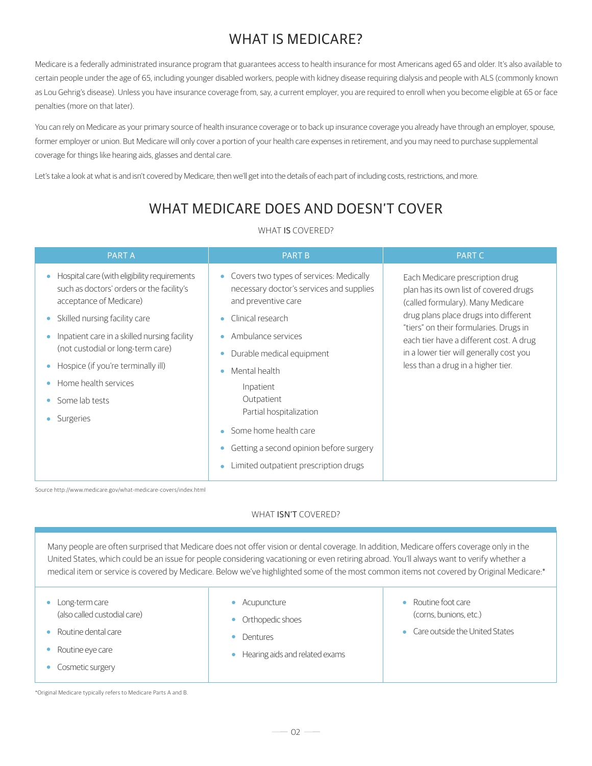# WHAT IS MEDICARE?

Medicare is a federally administrated insurance program that guarantees access to health insurance for most Americans aged 65 and older. It's also available to certain people under the age of 65, including younger disabled workers, people with kidney disease requiring dialysis and people with ALS (commonly known as Lou Gehrig's disease). Unless you have insurance coverage from, say, a current employer, you are required to enroll when you become eligible at 65 or face penalties (more on that later).

You can rely on Medicare as your primary source of health insurance coverage or to back up insurance coverage you already have through an employer, spouse, former employer or union. But Medicare will only cover a portion of your health care expenses in retirement, and you may need to purchase supplemental coverage for things like hearing aids, glasses and dental care.

Let's take a look at what is and isn't covered by Medicare, then we'll get into the details of each part of including costs, restrictions, and more.

# WHAT MEDICARE DOES AND DOESN'T COVER

### WHAT IS COVERED?

| <b>PARTA</b>                                                                                                              | <b>PART B</b>                                                                                              | <b>PART C</b>                                                                                                                                                      |  |
|---------------------------------------------------------------------------------------------------------------------------|------------------------------------------------------------------------------------------------------------|--------------------------------------------------------------------------------------------------------------------------------------------------------------------|--|
| Hospital care (with eligibility requirements<br>۰<br>such as doctors' orders or the facility's<br>acceptance of Medicare) | Covers two types of services: Medically<br>necessary doctor's services and supplies<br>and preventive care | Each Medicare prescription drug<br>plan has its own list of covered drugs<br>(called formulary). Many Medicare<br>drug plans place drugs into different            |  |
| Skilled nursing facility care<br>۰                                                                                        | Clinical research<br>۰                                                                                     |                                                                                                                                                                    |  |
| Inpatient care in a skilled nursing facility<br>(not custodial or long-term care)                                         | Ambulance services                                                                                         | "tiers" on their formularies. Drugs in<br>each tier have a different cost. A drug<br>in a lower tier will generally cost you<br>less than a drug in a higher tier. |  |
|                                                                                                                           | Durable medical equipment                                                                                  |                                                                                                                                                                    |  |
| Hospice (if you're terminally ill)                                                                                        | Mental health                                                                                              |                                                                                                                                                                    |  |
| Home health services                                                                                                      | Inpatient                                                                                                  |                                                                                                                                                                    |  |
| Some lab tests                                                                                                            | Outpatient                                                                                                 |                                                                                                                                                                    |  |
| Surgeries                                                                                                                 | Partial hospitalization                                                                                    |                                                                                                                                                                    |  |
|                                                                                                                           | Some home health care<br>$\bullet$                                                                         |                                                                                                                                                                    |  |
|                                                                                                                           | Getting a second opinion before surgery                                                                    |                                                                                                                                                                    |  |
|                                                                                                                           | Limited outpatient prescription drugs                                                                      |                                                                                                                                                                    |  |

Source http://www.medicare.gov/what-medicare-covers/index.html

### WHAT **ISN'T** COVERED?

Many people are often surprised that Medicare does not offer vision or dental coverage. In addition, Medicare offers coverage only in the United States, which could be an issue for people considering vacationing or even retiring abroad. You'll always want to verify whether a medical item or service is covered by Medicare. Below we've highlighted some of the most common items not covered by Original Medicare:\*

- Long-term care (also called custodial care)
- Routine dental care
- Routine eye care ۰
- Cosmetic surgery

Acupuncture

- Orthopedic shoes
- Dentures
- Hearing aids and related exams  $\bullet$
- Routine foot care (corns, bunions, etc.)
- Care outside the United States

\*Original Medicare typically refers to Medicare Parts A and B.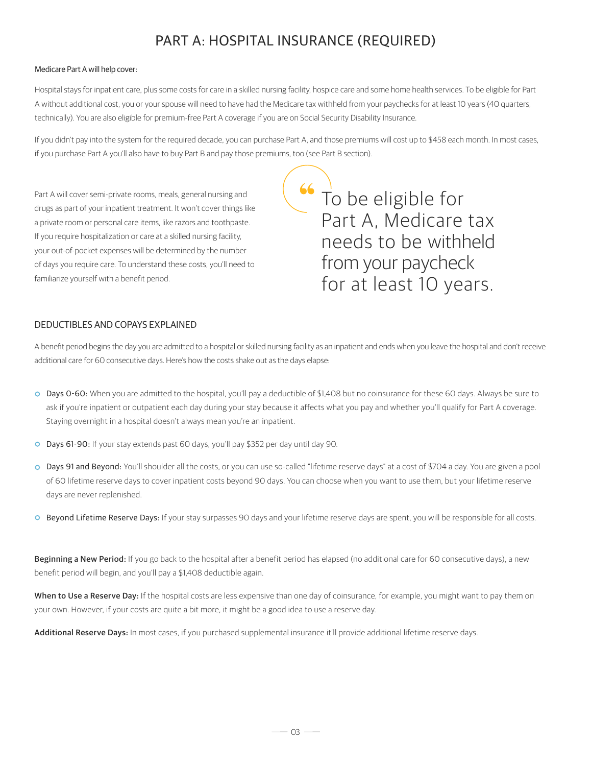# PART A: HOSPITAL INSURANCE (REQUIRED)

#### Medicare Part A will help cover:

Hospital stays for inpatient care, plus some costs for care in a skilled nursing facility, hospice care and some home health services. To be eligible for Part A without additional cost, you or your spouse will need to have had the Medicare tax withheld from your paychecks for at least 10 years (40 quarters, technically). You are also eligible for premium-free Part A coverage if you are on Social Security Disability Insurance.

If you didn't pay into the system for the required decade, you can purchase Part A, and those premiums will cost up to \$458 each month. In most cases, if you purchase Part A you'll also have to buy Part B and pay those premiums, too (see Part B section).

Part A will cover semi-private rooms, meals, general nursing and drugs as part of your inpatient treatment. It won't cover things like a private room or personal care items, like razors and toothpaste. If you require hospitalization or care at a skilled nursing facility, your out-of-pocket expenses will be determined by the number of days you require care. To understand these costs, you'll need to familiarize yourself with a benefit period.

To be eligible for Part A, Medicare tax needs to be withheld from your paycheck for at least 10 years.

### DEDUCTIBLES AND COPAYS EXPLAINED

A benefit period begins the day you are admitted to a hospital or skilled nursing facility as an inpatient and ends when you leave the hospital and don't receive additional care for 60 consecutive days. Here's how the costs shake out as the days elapse:

- Days 0-60: When you are admitted to the hospital, you'll pay a deductible of \$1,408 but no coinsurance for these 60 days. Always be sure to ask if you're inpatient or outpatient each day during your stay because it affects what you pay and whether you'll qualify for Part A coverage. Staying overnight in a hospital doesn't always mean you're an inpatient.
- Days 61-90: If your stay extends past 60 days, you'll pay \$352 per day until day 90.
- Days 91 and Beyond: You'll shoulder all the costs, or you can use so-called "lifetime reserve days" at a cost of \$704 a day. You are given a pool of 60 lifetime reserve days to cover inpatient costs beyond 90 days. You can choose when you want to use them, but your lifetime reserve days are never replenished.
- **C** Beyond Lifetime Reserve Days: If your stay surpasses 90 days and your lifetime reserve days are spent, you will be responsible for all costs.

Beginning a New Period: If you go back to the hospital after a benefit period has elapsed (no additional care for 60 consecutive days), a new benefit period will begin, and you'll pay a \$1,408 deductible again.

When to Use a Reserve Day: If the hospital costs are less expensive than one day of coinsurance, for example, you might want to pay them on your own. However, if your costs are quite a bit more, it might be a good idea to use a reserve day.

Additional Reserve Days: In most cases, if you purchased supplemental insurance it'll provide additional lifetime reserve days.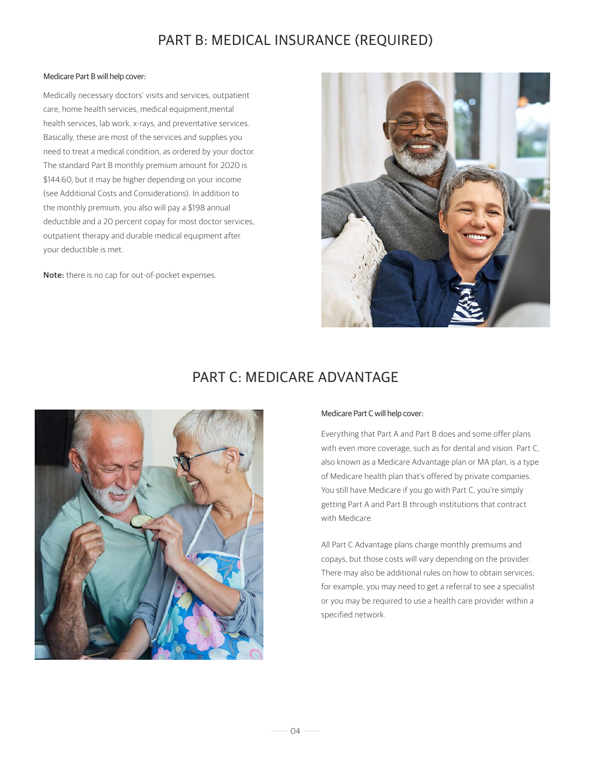# PART B: MEDICAL INSURANCE (REQUIRED)

#### Medicare Part B will help cover:

Medically necessary doctors' visits and services, outpatient care, home health services, medical equipment,mental health services, lab work, x-rays, and preventative services. Basically, these are most of the services and supplies you need to treat a medical condition, as ordered by your doctor. The standard Part B monthly premium amount for 2020 is \$144.60, but it may be higher depending on your income (see Additional Costs and Considerations). In addition to the monthly premium, you also will pay a \$198 annual deductible and a 20 percent copay for most doctor services, outpatient therapy and durable medical equipment after your deductible is met.

Note: there is no cap for out-of-pocket expenses.



### PART C: MEDICARE ADVANTAGE



#### Medicare Part C will help cover:

Everything that Part A and Part B does and some offer plans with even more coverage, such as for dental and vision. Part C, also known as a Medicare Advantage plan or MA plan, is a type of Medicare health plan that's offered by private companies. You still have Medicare if you go with Part C, you're simply getting Part A and Part B through institutions that contract with Medicare.

All Part C Advantage plans charge monthly premiums and copays, but those costs will vary depending on the provider. There may also be additional rules on how to obtain services; for example, you may need to get a referral to see a specialist or you may be required to use a health care provider within a specified network.

 $-04 -$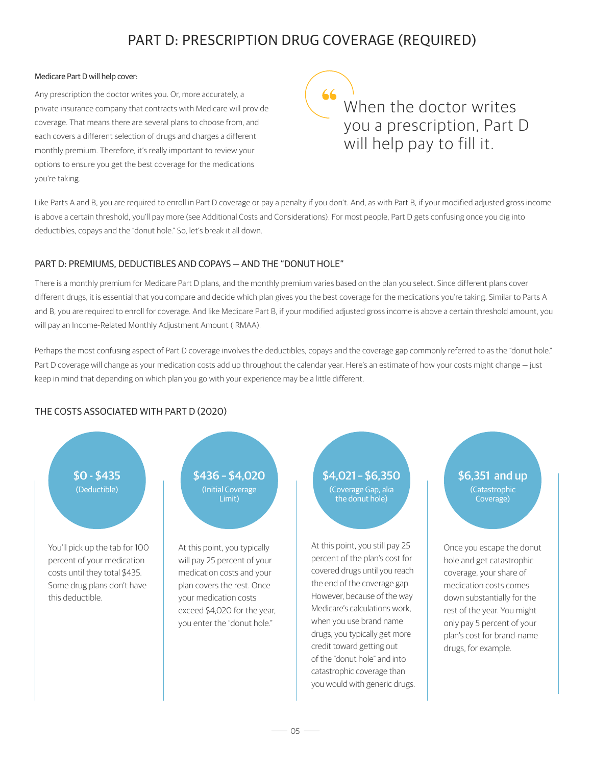# PART D: PRESCRIPTION DRUG COVERAGE (REQUIRED)

#### Medicare Part D will help cover:

Any prescription the doctor writes you. Or, more accurately, a private insurance company that contracts with Medicare will provide coverage. That means there are several plans to choose from, and each covers a different selection of drugs and charges a different monthly premium. Therefore, it's really important to review your options to ensure you get the best coverage for the medications you're taking.

66 When the doctor writes you a prescription, Part D will help pay to fill it.

Like Parts A and B, you are required to enroll in Part D coverage or pay a penalty if you don't. And, as with Part B, if your modified adjusted gross income is above a certain threshold, you'll pay more (see Additional Costs and Considerations). For most people, Part D gets confusing once you dig into deductibles, copays and the "donut hole." So, let's break it all down.

### PART D: PREMIUMS, DEDUCTIBLES AND COPAYS — AND THE "DONUT HOLE"

There is a monthly premium for Medicare Part D plans, and the monthly premium varies based on the plan you select. Since different plans cover different drugs, it is essential that you compare and decide which plan gives you the best coverage for the medications you're taking. Similar to Parts A and B, you are required to enroll for coverage. And like Medicare Part B, if your modified adjusted gross income is above a certain threshold amount, you will pay an Income-Related Monthly Adjustment Amount (IRMAA).

Perhaps the most confusing aspect of Part D coverage involves the deductibles, copays and the coverage gap commonly referred to as the "donut hole." Part D coverage will change as your medication costs add up throughout the calendar year. Here's an estimate of how your costs might change — just keep in mind that depending on which plan you go with your experience may be a little different.

### THE COSTS ASSOCIATED WITH PART D (2020)

You'll pick up the tab for 100 percent of your medication costs until they total \$435. Some drug plans don't have this deductible.

 $$0 - $435$  \$436 – \$4,020 \$4,021 – \$6,350 \$6,351 and up (Deductible) (Initial Coverage Limit)

> At this point, you typically will pay 25 percent of your medication costs and your plan covers the rest. Once your medication costs exceed \$4,020 for the year, you enter the "donut hole."

(Coverage Gap, aka

the donut hole)

At this point, you still pay 25 percent of the plan's cost for covered drugs until you reach the end of the coverage gap. However, because of the way Medicare's calculations work, when you use brand name drugs, you typically get more credit toward getting out of the "donut hole" and into catastrophic coverage than you would with generic drugs.

## (Catastrophic Coverage)

Once you escape the donut hole and get catastrophic coverage, your share of medication costs comes down substantially for the rest of the year. You might only pay 5 percent of your plan's cost for brand-name drugs, for example.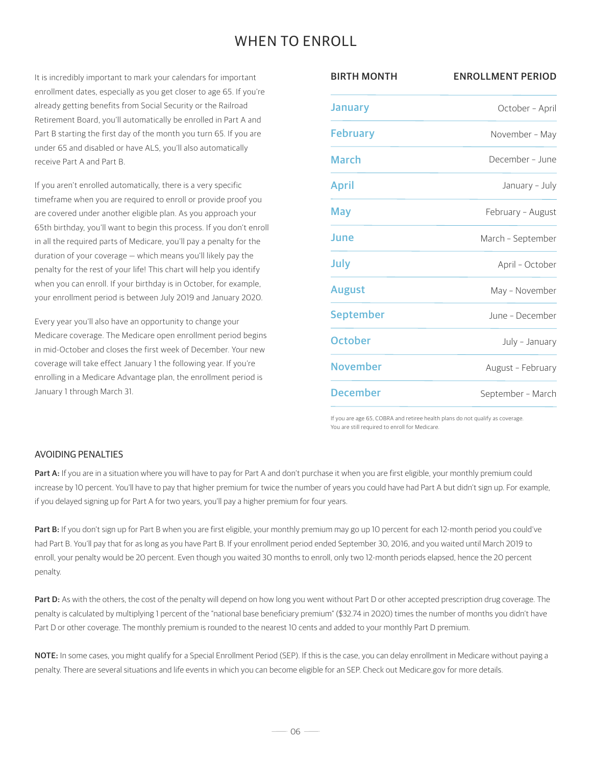## WHEN TO ENROLL

It is incredibly important to mark your calendars for important enrollment dates, especially as you get closer to age 65. If you're already getting benefits from Social Security or the Railroad Retirement Board, you'll automatically be enrolled in Part A and Part B starting the first day of the month you turn 65. If you are under 65 and disabled or have ALS, you'll also automatically receive Part A and Part B.

If you aren't enrolled automatically, there is a very specific timeframe when you are required to enroll or provide proof you are covered under another eligible plan. As you approach your 65th birthday, you'll want to begin this process. If you don't enroll in all the required parts of Medicare, you'll pay a penalty for the duration of your coverage — which means you'll likely pay the penalty for the rest of your life! This chart will help you identify when you can enroll. If your birthday is in October, for example, your enrollment period is between July 2019 and January 2020.

Every year you'll also have an opportunity to change your Medicare coverage. The Medicare open enrollment period begins in mid-October and closes the first week of December. Your new coverage will take effect January 1 the following year. If you're enrolling in a Medicare Advantage plan, the enrollment period is January 1 through March 31.

| <b>BIRTH MONTH</b><br><b>ENROLLMENT PERIOD</b> |  |
|------------------------------------------------|--|
| October - April                                |  |
| November - May                                 |  |
| December - June                                |  |
| January - July                                 |  |
| February - August                              |  |
| March - September                              |  |
| April - October                                |  |
| May - November                                 |  |
| June - December                                |  |
| July - January                                 |  |
| August - February                              |  |
| September - March                              |  |
|                                                |  |

If you are age 65, COBRA and retiree health plans do not qualify as coverage. You are still required to enroll for Medicare.

#### AVOIDING PENALTIES

Part A: If you are in a situation where you will have to pay for Part A and don't purchase it when you are first eligible, your monthly premium could increase by 10 percent. You'll have to pay that higher premium for twice the number of years you could have had Part A but didn't sign up. For example, if you delayed signing up for Part A for two years, you'll pay a higher premium for four years.

Part B: If you don't sign up for Part B when you are first eligible, your monthly premium may go up 10 percent for each 12-month period you could've had Part B. You'll pay that for as long as you have Part B. If your enrollment period ended September 30, 2016, and you waited until March 2019 to enroll, your penalty would be 20 percent. Even though you waited 30 months to enroll, only two 12-month periods elapsed, hence the 20 percent penalty.

Part D: As with the others, the cost of the penalty will depend on how long you went without Part D or other accepted prescription drug coverage. The penalty is calculated by multiplying 1 percent of the "national base beneficiary premium" (\$32.74 in 2020) times the number of months you didn't have Part D or other coverage. The monthly premium is rounded to the nearest 10 cents and added to your monthly Part D premium.

NOTE: In some cases, you might qualify for a Special Enrollment Period (SEP). If this is the case, you can delay enrollment in Medicare without paying a penalty. There are several situations and life events in which you can become eligible for an SEP. Check out Medicare.gov for more details.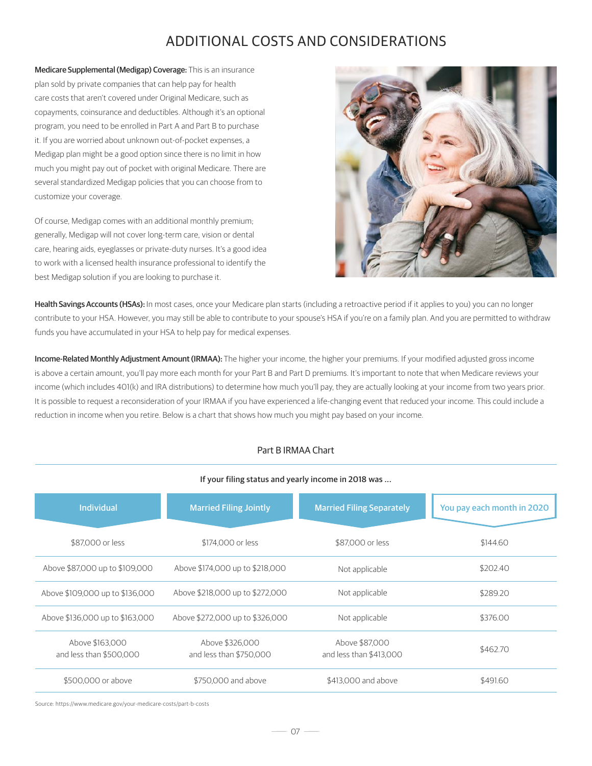# ADDITIONAL COSTS AND CONSIDERATIONS

Medicare Supplemental (Medigap) Coverage: This is an insurance plan sold by private companies that can help pay for health care costs that aren't covered under Original Medicare, such as copayments, coinsurance and deductibles. Although it's an optional program, you need to be enrolled in Part A and Part B to purchase it. If you are worried about unknown out-of-pocket expenses, a Medigap plan might be a good option since there is no limit in how much you might pay out of pocket with original Medicare. There are several standardized Medigap policies that you can choose from to customize your coverage.

Of course, Medigap comes with an additional monthly premium; generally, Medigap will not cover long-term care, vision or dental care, hearing aids, eyeglasses or private-duty nurses. It's a good idea to work with a licensed health insurance professional to identify the best Medigap solution if you are looking to purchase it.



Health Savings Accounts (HSAs): In most cases, once your Medicare plan starts (including a retroactive period if it applies to you) you can no longer contribute to your HSA. However, you may still be able to contribute to your spouse's HSA if you're on a family plan. And you are permitted to withdraw funds you have accumulated in your HSA to help pay for medical expenses.

Income-Related Monthly Adjustment Amount (IRMAA): The higher your income, the higher your premiums. If your modified adjusted gross income is above a certain amount, you'll pay more each month for your Part B and Part D premiums. It's important to note that when Medicare reviews your income (which includes 401(k) and IRA distributions) to determine how much you'll pay, they are actually looking at your income from two years prior. It is possible to request a reconsideration of your IRMAA if you have experienced a life-changing event that reduced your income. This could include a reduction in income when you retire. Below is a chart that shows how much you might pay based on your income.

### Part B IRMAA Chart

#### If your filing status and yearly income in 2018 was ...

| <b>Individual</b>                          | <b>Married Filing Jointly</b>              | <b>Married Filing Separately</b>          | You pay each month in 2020 |
|--------------------------------------------|--------------------------------------------|-------------------------------------------|----------------------------|
| \$87,000 or less                           | \$174,000 or less                          | \$87,000 or less                          | \$144.60                   |
| Above \$87,000 up to \$109,000             | Above \$174,000 up to \$218,000            | Not applicable                            | \$202.40                   |
| Above \$109,000 up to \$136,000            | Above \$218,000 up to \$272,000            | Not applicable                            | \$289.20                   |
| Above \$136,000 up to \$163,000            | Above \$272,000 up to \$326,000            | Not applicable                            | \$376.00                   |
| Above \$163,000<br>and less than \$500,000 | Above \$326,000<br>and less than \$750,000 | Above \$87,000<br>and less than \$413,000 | \$462.70                   |
| \$500,000 or above                         | \$750,000 and above                        | \$413,000 and above                       | \$491.60                   |

Source: https://www.medicare.gov/your-medicare-costs/part-b-costs